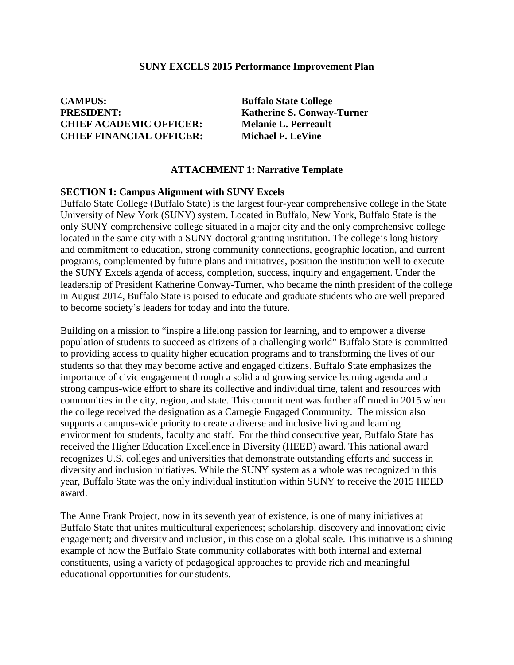#### **SUNY EXCELS 2015 Performance Improvement Plan**

**CAMPUS: Buffalo State College PRESIDENT: Katherine S. Conway-Turner CHIEF ACADEMIC OFFICER: Melanie L. Perreault CHIEF FINANCIAL OFFICER: Michael F. LeVine** 

#### **ATTACHMENT 1: Narrative Template**

#### **SECTION 1: Campus Alignment with SUNY Excels**

Buffalo State College (Buffalo State) is the largest four-year comprehensive college in the State University of New York (SUNY) system. Located in Buffalo, New York, Buffalo State is the only SUNY comprehensive college situated in a major city and the only comprehensive college located in the same city with a SUNY doctoral granting institution. The college's long history and commitment to education, strong community connections, geographic location, and current programs, complemented by future plans and initiatives, position the institution well to execute the SUNY Excels agenda of access, completion, success, inquiry and engagement. Under the leadership of President Katherine Conway-Turner, who became the ninth president of the college in August 2014, Buffalo State is poised to educate and graduate students who are well prepared to become society's leaders for today and into the future.

Building on a mission to "inspire a lifelong passion for learning, and to empower a diverse population of students to succeed as citizens of a challenging world" Buffalo State is committed to providing access to quality higher education programs and to transforming the lives of our students so that they may become active and engaged citizens. Buffalo State emphasizes the importance of civic engagement through a solid and growing service learning agenda and a strong campus-wide effort to share its collective and individual time, talent and resources with communities in the city, region, and state. This commitment was further affirmed in 2015 when the college received the designation as a Carnegie Engaged Community. The mission also supports a campus-wide priority to create a diverse and inclusive living and learning environment for students, faculty and staff. For the third consecutive year, Buffalo State has received the Higher Education Excellence in Diversity (HEED) award. This national award recognizes U.S. colleges and universities that demonstrate outstanding efforts and success in diversity and inclusion initiatives. While the SUNY system as a whole was recognized in this year, Buffalo State was the only individual institution within SUNY to receive the 2015 HEED award.

The Anne Frank Project, now in its seventh year of existence, is one of many initiatives at Buffalo State that unites multicultural experiences; scholarship, discovery and innovation; civic engagement; and diversity and inclusion, in this case on a global scale. This initiative is a shining example of how the Buffalo State community collaborates with both internal and external constituents, using a variety of pedagogical approaches to provide rich and meaningful educational opportunities for our students.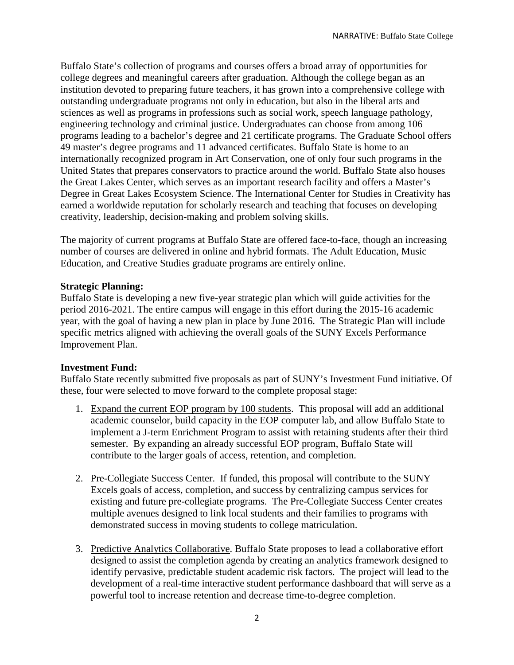Buffalo State's collection of programs and courses offers a broad array of opportunities for college degrees and meaningful careers after graduation. Although the college began as an institution devoted to preparing future teachers, it has grown into a comprehensive college with outstanding undergraduate programs not only in education, but also in the liberal arts and sciences as well as programs in professions such as social work, speech language pathology, engineering technology and criminal justice. Undergraduates can choose from among 106 programs leading to a bachelor's degree and 21 certificate programs. The Graduate School offers 49 master's degree programs and 11 advanced certificates. Buffalo State is home to an internationally recognized program in Art Conservation, one of only four such programs in the United States that prepares conservators to practice around the world. Buffalo State also houses the Great Lakes Center, which serves as an important research facility and offers a Master's Degree in Great Lakes Ecosystem Science. The International Center for Studies in Creativity has earned a worldwide reputation for scholarly research and teaching that focuses on developing creativity, leadership, decision-making and problem solving skills.

The majority of current programs at Buffalo State are offered face-to-face, though an increasing number of courses are delivered in online and hybrid formats. The Adult Education, Music Education, and Creative Studies graduate programs are entirely online.

## **Strategic Planning:**

Buffalo State is developing a new five-year strategic plan which will guide activities for the period 2016-2021. The entire campus will engage in this effort during the 2015-16 academic year, with the goal of having a new plan in place by June 2016. The Strategic Plan will include specific metrics aligned with achieving the overall goals of the SUNY Excels Performance Improvement Plan.

## **Investment Fund:**

Buffalo State recently submitted five proposals as part of SUNY's Investment Fund initiative. Of these, four were selected to move forward to the complete proposal stage:

- 1. Expand the current EOP program by 100 students. This proposal will add an additional academic counselor, build capacity in the EOP computer lab, and allow Buffalo State to implement a J-term Enrichment Program to assist with retaining students after their third semester. By expanding an already successful EOP program, Buffalo State will contribute to the larger goals of access, retention, and completion.
- 2. Pre-Collegiate Success Center. If funded, this proposal will contribute to the SUNY Excels goals of access, completion, and success by centralizing campus services for existing and future pre-collegiate programs. The Pre-Collegiate Success Center creates multiple avenues designed to link local students and their families to programs with demonstrated success in moving students to college matriculation.
- 3. Predictive Analytics Collaborative. Buffalo State proposes to lead a collaborative effort designed to assist the completion agenda by creating an analytics framework designed to identify pervasive, predictable student academic risk factors. The project will lead to the development of a real-time interactive student performance dashboard that will serve as a powerful tool to increase retention and decrease time-to-degree completion.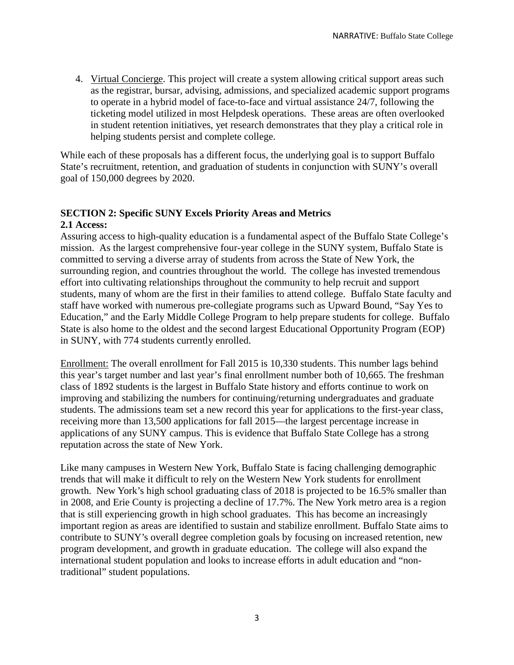4. Virtual Concierge. This project will create a system allowing critical support areas such as the registrar, bursar, advising, admissions, and specialized academic support programs to operate in a hybrid model of face-to-face and virtual assistance 24/7, following the ticketing model utilized in most Helpdesk operations. These areas are often overlooked in student retention initiatives, yet research demonstrates that they play a critical role in helping students persist and complete college.

While each of these proposals has a different focus, the underlying goal is to support Buffalo State's recruitment, retention, and graduation of students in conjunction with SUNY's overall goal of 150,000 degrees by 2020.

# **SECTION 2: Specific SUNY Excels Priority Areas and Metrics**

# **2.1 Access:**

Assuring access to high-quality education is a fundamental aspect of the Buffalo State College's mission. As the largest comprehensive four-year college in the SUNY system, Buffalo State is committed to serving a diverse array of students from across the State of New York, the surrounding region, and countries throughout the world. The college has invested tremendous effort into cultivating relationships throughout the community to help recruit and support students, many of whom are the first in their families to attend college. Buffalo State faculty and staff have worked with numerous pre-collegiate programs such as Upward Bound, "Say Yes to Education," and the Early Middle College Program to help prepare students for college. Buffalo State is also home to the oldest and the second largest Educational Opportunity Program (EOP) in SUNY, with 774 students currently enrolled.

Enrollment: The overall enrollment for Fall 2015 is 10,330 students. This number lags behind this year's target number and last year's final enrollment number both of 10,665. The freshman class of 1892 students is the largest in Buffalo State history and efforts continue to work on improving and stabilizing the numbers for continuing/returning undergraduates and graduate students. The admissions team set a new record this year for applications to the first-year class, receiving more than 13,500 applications for fall 2015—the largest percentage increase in applications of any SUNY campus. This is evidence that Buffalo State College has a strong reputation across the state of New York.

Like many campuses in Western New York, Buffalo State is facing challenging demographic trends that will make it difficult to rely on the Western New York students for enrollment growth. New York's high school graduating class of 2018 is projected to be 16.5% smaller than in 2008, and Erie County is projecting a decline of 17.7%. The New York metro area is a region that is still experiencing growth in high school graduates. This has become an increasingly important region as areas are identified to sustain and stabilize enrollment. Buffalo State aims to contribute to SUNY's overall degree completion goals by focusing on increased retention, new program development, and growth in graduate education. The college will also expand the international student population and looks to increase efforts in adult education and "nontraditional" student populations.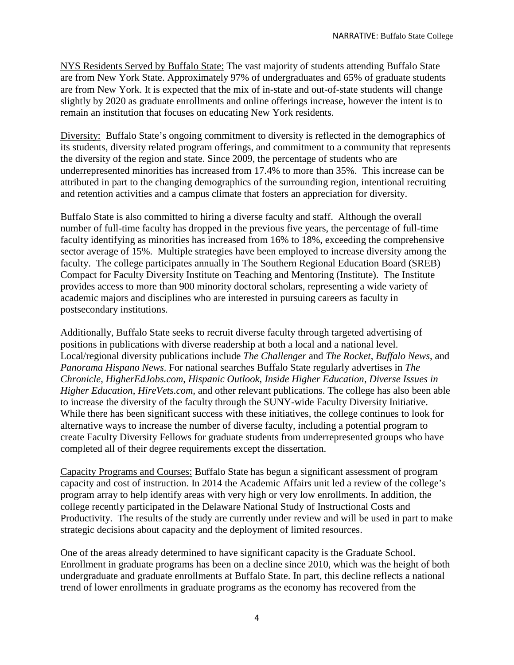NYS Residents Served by Buffalo State: The vast majority of students attending Buffalo State are from New York State. Approximately 97% of undergraduates and 65% of graduate students are from New York. It is expected that the mix of in-state and out-of-state students will change slightly by 2020 as graduate enrollments and online offerings increase, however the intent is to remain an institution that focuses on educating New York residents.

Diversity: Buffalo State's ongoing commitment to diversity is reflected in the demographics of its students, diversity related program offerings, and commitment to a community that represents the diversity of the region and state. Since 2009, the percentage of students who are underrepresented minorities has increased from 17.4% to more than 35%. This increase can be attributed in part to the changing demographics of the surrounding region, intentional recruiting and retention activities and a campus climate that fosters an appreciation for diversity.

Buffalo State is also committed to hiring a diverse faculty and staff. Although the overall number of full-time faculty has dropped in the previous five years, the percentage of full-time faculty identifying as minorities has increased from 16% to 18%, exceeding the comprehensive sector average of 15%. Multiple strategies have been employed to increase diversity among the faculty. The college participates annually in The Southern Regional Education Board (SREB) Compact for Faculty Diversity Institute on Teaching and Mentoring (Institute). The Institute provides access to more than 900 minority doctoral scholars, representing a wide variety of academic majors and disciplines who are interested in pursuing careers as faculty in postsecondary institutions.

Additionally, Buffalo State seeks to recruit diverse faculty through targeted advertising of positions in publications with diverse readership at both a local and a national level. Local/regional diversity publications include *The Challenger* and *The Rocket*, *Buffalo News*, and *Panorama Hispano News*. For national searches Buffalo State regularly advertises in *The Chronicle*, *HigherEdJobs.com*, *Hispanic Outlook, Inside Higher Education*, *Diverse Issues in Higher Education*, *HireVets.com*, and other relevant publications. The college has also been able to increase the diversity of the faculty through the SUNY-wide Faculty Diversity Initiative. While there has been significant success with these initiatives, the college continues to look for alternative ways to increase the number of diverse faculty, including a potential program to create Faculty Diversity Fellows for graduate students from underrepresented groups who have completed all of their degree requirements except the dissertation.

Capacity Programs and Courses: Buffalo State has begun a significant assessment of program capacity and cost of instruction. In 2014 the Academic Affairs unit led a review of the college's program array to help identify areas with very high or very low enrollments. In addition, the college recently participated in the Delaware National Study of Instructional Costs and Productivity. The results of the study are currently under review and will be used in part to make strategic decisions about capacity and the deployment of limited resources.

One of the areas already determined to have significant capacity is the Graduate School. Enrollment in graduate programs has been on a decline since 2010, which was the height of both undergraduate and graduate enrollments at Buffalo State. In part, this decline reflects a national trend of lower enrollments in graduate programs as the economy has recovered from the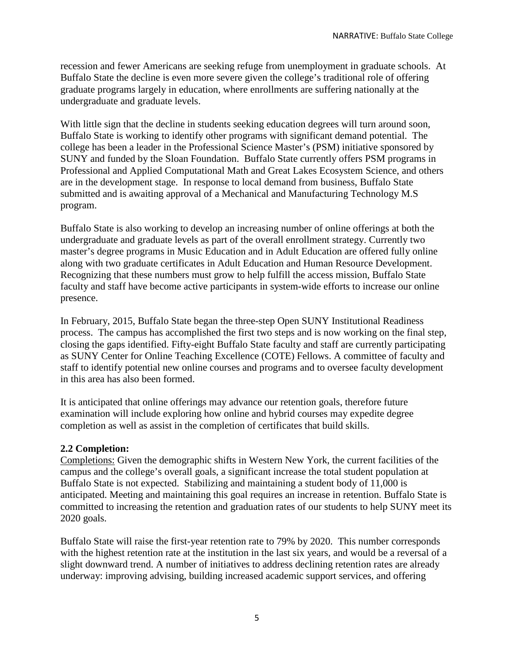recession and fewer Americans are seeking refuge from unemployment in graduate schools. At Buffalo State the decline is even more severe given the college's traditional role of offering graduate programs largely in education, where enrollments are suffering nationally at the undergraduate and graduate levels.

With little sign that the decline in students seeking education degrees will turn around soon, Buffalo State is working to identify other programs with significant demand potential. The college has been a leader in the Professional Science Master's (PSM) initiative sponsored by SUNY and funded by the Sloan Foundation. Buffalo State currently offers PSM programs in Professional and Applied Computational Math and Great Lakes Ecosystem Science, and others are in the development stage. In response to local demand from business, Buffalo State submitted and is awaiting approval of a Mechanical and Manufacturing Technology M.S program.

Buffalo State is also working to develop an increasing number of online offerings at both the undergraduate and graduate levels as part of the overall enrollment strategy. Currently two master's degree programs in Music Education and in Adult Education are offered fully online along with two graduate certificates in Adult Education and Human Resource Development. Recognizing that these numbers must grow to help fulfill the access mission, Buffalo State faculty and staff have become active participants in system-wide efforts to increase our online presence.

In February, 2015, Buffalo State began the three-step Open SUNY Institutional Readiness process. The campus has accomplished the first two steps and is now working on the final step, closing the gaps identified. Fifty-eight Buffalo State faculty and staff are currently participating as SUNY Center for Online Teaching Excellence (COTE) Fellows. A committee of faculty and staff to identify potential new online courses and programs and to oversee faculty development in this area has also been formed.

It is anticipated that online offerings may advance our retention goals, therefore future examination will include exploring how online and hybrid courses may expedite degree completion as well as assist in the completion of certificates that build skills.

## **2.2 Completion:**

Completions: Given the demographic shifts in Western New York, the current facilities of the campus and the college's overall goals, a significant increase the total student population at Buffalo State is not expected. Stabilizing and maintaining a student body of 11,000 is anticipated. Meeting and maintaining this goal requires an increase in retention. Buffalo State is committed to increasing the retention and graduation rates of our students to help SUNY meet its 2020 goals.

Buffalo State will raise the first-year retention rate to 79% by 2020. This number corresponds with the highest retention rate at the institution in the last six years, and would be a reversal of a slight downward trend. A number of initiatives to address declining retention rates are already underway: improving advising, building increased academic support services, and offering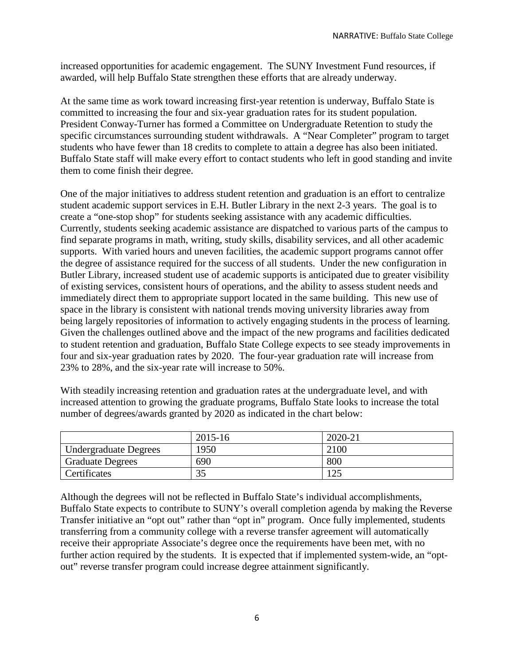increased opportunities for academic engagement. The SUNY Investment Fund resources, if awarded, will help Buffalo State strengthen these efforts that are already underway.

At the same time as work toward increasing first-year retention is underway, Buffalo State is committed to increasing the four and six-year graduation rates for its student population. President Conway-Turner has formed a Committee on Undergraduate Retention to study the specific circumstances surrounding student withdrawals. A "Near Completer" program to target students who have fewer than 18 credits to complete to attain a degree has also been initiated. Buffalo State staff will make every effort to contact students who left in good standing and invite them to come finish their degree.

One of the major initiatives to address student retention and graduation is an effort to centralize student academic support services in E.H. Butler Library in the next 2-3 years. The goal is to create a "one-stop shop" for students seeking assistance with any academic difficulties. Currently, students seeking academic assistance are dispatched to various parts of the campus to find separate programs in math, writing, study skills, disability services, and all other academic supports. With varied hours and uneven facilities, the academic support programs cannot offer the degree of assistance required for the success of all students. Under the new configuration in Butler Library, increased student use of academic supports is anticipated due to greater visibility of existing services, consistent hours of operations, and the ability to assess student needs and immediately direct them to appropriate support located in the same building. This new use of space in the library is consistent with national trends moving university libraries away from being largely repositories of information to actively engaging students in the process of learning. Given the challenges outlined above and the impact of the new programs and facilities dedicated to student retention and graduation, Buffalo State College expects to see steady improvements in four and six-year graduation rates by 2020. The four-year graduation rate will increase from 23% to 28%, and the six-year rate will increase to 50%.

With steadily increasing retention and graduation rates at the undergraduate level, and with increased attention to growing the graduate programs, Buffalo State looks to increase the total number of degrees/awards granted by 2020 as indicated in the chart below:

|                              | 2015-16 | 2020-21 |
|------------------------------|---------|---------|
| <b>Undergraduate Degrees</b> | 1950    | 2100    |
| <b>Graduate Degrees</b>      | 690     | 800     |
| Certificates                 | 35      | ∣າ<     |

Although the degrees will not be reflected in Buffalo State's individual accomplishments, Buffalo State expects to contribute to SUNY's overall completion agenda by making the Reverse Transfer initiative an "opt out" rather than "opt in" program. Once fully implemented, students transferring from a community college with a reverse transfer agreement will automatically receive their appropriate Associate's degree once the requirements have been met, with no further action required by the students. It is expected that if implemented system-wide, an "optout" reverse transfer program could increase degree attainment significantly.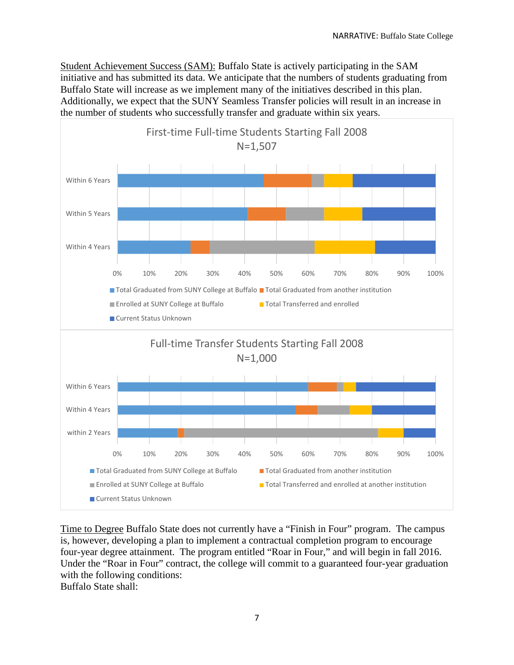Student Achievement Success (SAM): Buffalo State is actively participating in the SAM initiative and has submitted its data. We anticipate that the numbers of students graduating from Buffalo State will increase as we implement many of the initiatives described in this plan. Additionally, we expect that the SUNY Seamless Transfer policies will result in an increase in the number of students who successfully transfer and graduate within six years.



Time to Degree Buffalo State does not currently have a "Finish in Four" program. The campus is, however, developing a plan to implement a contractual completion program to encourage four-year degree attainment. The program entitled "Roar in Four," and will begin in fall 2016. Under the "Roar in Four" contract, the college will commit to a guaranteed four-year graduation with the following conditions:

Buffalo State shall: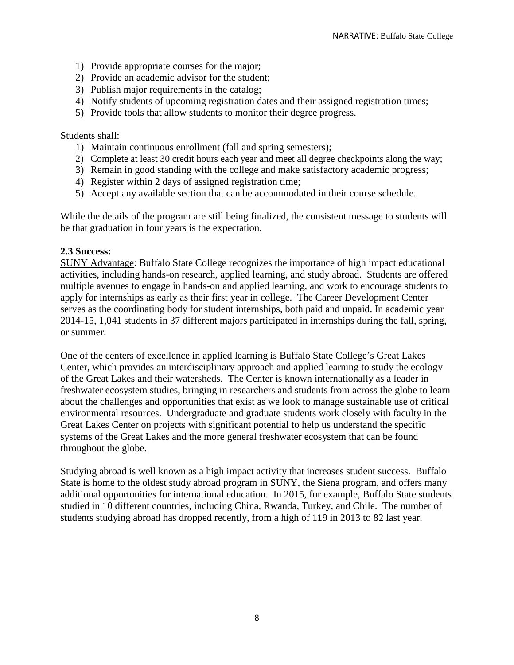- 1) Provide appropriate courses for the major;
- 2) Provide an academic advisor for the student;
- 3) Publish major requirements in the catalog;
- 4) Notify students of upcoming registration dates and their assigned registration times;
- 5) Provide tools that allow students to monitor their degree progress.

## Students shall:

- 1) Maintain continuous enrollment (fall and spring semesters);
- 2) Complete at least 30 credit hours each year and meet all degree checkpoints along the way;
- 3) Remain in good standing with the college and make satisfactory academic progress;
- 4) Register within 2 days of assigned registration time;
- 5) Accept any available section that can be accommodated in their course schedule.

While the details of the program are still being finalized, the consistent message to students will be that graduation in four years is the expectation.

#### **2.3 Success:**

SUNY Advantage: Buffalo State College recognizes the importance of high impact educational activities, including hands-on research, applied learning, and study abroad. Students are offered multiple avenues to engage in hands-on and applied learning, and work to encourage students to apply for internships as early as their first year in college. The Career Development Center serves as the coordinating body for student internships, both paid and unpaid. In academic year 2014-15, 1,041 students in 37 different majors participated in internships during the fall, spring, or summer.

One of the centers of excellence in applied learning is Buffalo State College's Great Lakes Center, which provides an interdisciplinary approach and applied learning to study the ecology of the Great Lakes and their watersheds. The Center is known internationally as a leader in freshwater ecosystem studies, bringing in researchers and students from across the globe to learn about the challenges and opportunities that exist as we look to manage sustainable use of critical environmental resources. Undergraduate and graduate students work closely with faculty in the Great Lakes Center on projects with significant potential to help us understand the specific systems of the Great Lakes and the more general freshwater ecosystem that can be found throughout the globe.

Studying abroad is well known as a high impact activity that increases student success. Buffalo State is home to the oldest study abroad program in SUNY, the Siena program, and offers many additional opportunities for international education. In 2015, for example, Buffalo State students studied in 10 different countries, including China, Rwanda, Turkey, and Chile. The number of students studying abroad has dropped recently, from a high of 119 in 2013 to 82 last year.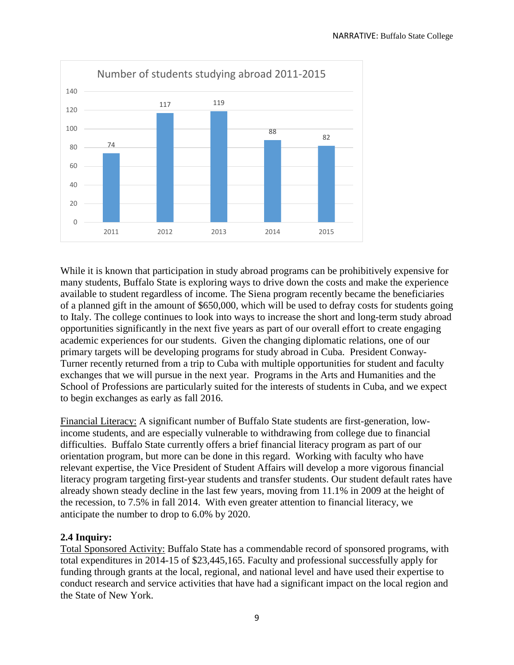

While it is known that participation in study abroad programs can be prohibitively expensive for many students, Buffalo State is exploring ways to drive down the costs and make the experience available to student regardless of income. The Siena program recently became the beneficiaries of a planned gift in the amount of \$650,000, which will be used to defray costs for students going to Italy. The college continues to look into ways to increase the short and long-term study abroad opportunities significantly in the next five years as part of our overall effort to create engaging academic experiences for our students. Given the changing diplomatic relations, one of our primary targets will be developing programs for study abroad in Cuba. President Conway-Turner recently returned from a trip to Cuba with multiple opportunities for student and faculty exchanges that we will pursue in the next year. Programs in the Arts and Humanities and the School of Professions are particularly suited for the interests of students in Cuba, and we expect to begin exchanges as early as fall 2016.

Financial Literacy: A significant number of Buffalo State students are first-generation, lowincome students, and are especially vulnerable to withdrawing from college due to financial difficulties. Buffalo State currently offers a brief financial literacy program as part of our orientation program, but more can be done in this regard. Working with faculty who have relevant expertise, the Vice President of Student Affairs will develop a more vigorous financial literacy program targeting first-year students and transfer students. Our student default rates have already shown steady decline in the last few years, moving from 11.1% in 2009 at the height of the recession, to 7.5% in fall 2014. With even greater attention to financial literacy, we anticipate the number to drop to 6.0% by 2020.

# **2.4 Inquiry:**

Total Sponsored Activity: Buffalo State has a commendable record of sponsored programs, with total expenditures in 2014-15 of \$23,445,165. Faculty and professional successfully apply for funding through grants at the local, regional, and national level and have used their expertise to conduct research and service activities that have had a significant impact on the local region and the State of New York.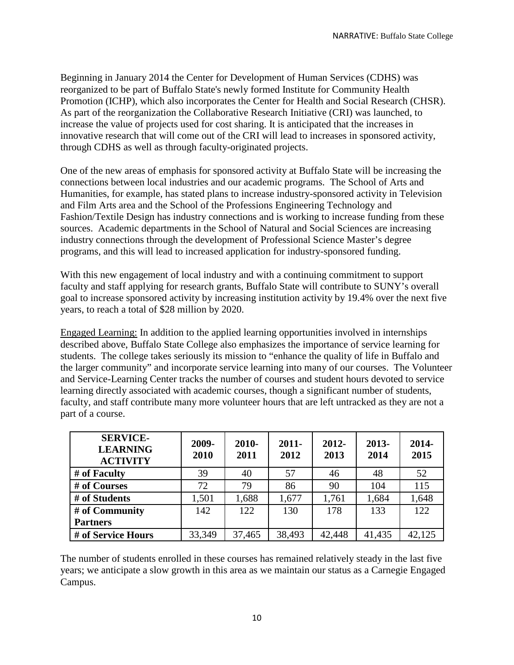Beginning in January 2014 the Center for Development of Human Services (CDHS) was reorganized to be part of Buffalo State's newly formed Institute for Community Health Promotion (ICHP), which also incorporates the Center for Health and Social Research (CHSR). As part of the reorganization the Collaborative Research Initiative (CRI) was launched, to increase the value of projects used for cost sharing. It is anticipated that the increases in innovative research that will come out of the CRI will lead to increases in sponsored activity, through CDHS as well as through faculty-originated projects.

One of the new areas of emphasis for sponsored activity at Buffalo State will be increasing the connections between local industries and our academic programs. The School of Arts and Humanities, for example, has stated plans to increase industry-sponsored activity in Television and Film Arts area and the School of the Professions Engineering Technology and Fashion/Textile Design has industry connections and is working to increase funding from these sources. Academic departments in the School of Natural and Social Sciences are increasing industry connections through the development of Professional Science Master's degree programs, and this will lead to increased application for industry-sponsored funding.

With this new engagement of local industry and with a continuing commitment to support faculty and staff applying for research grants, Buffalo State will contribute to SUNY's overall goal to increase sponsored activity by increasing institution activity by 19.4% over the next five years, to reach a total of \$28 million by 2020.

Engaged Learning: In addition to the applied learning opportunities involved in internships described above, Buffalo State College also emphasizes the importance of service learning for students. The college takes seriously its mission to "enhance the quality of life in Buffalo and the larger community" and incorporate service learning into many of our courses. The Volunteer and Service-Learning Center tracks the number of courses and student hours devoted to service learning directly associated with academic courses, though a significant number of students, faculty, and staff contribute many more volunteer hours that are left untracked as they are not a part of a course.

| <b>SERVICE-</b><br><b>LEARNING</b><br><b>ACTIVITY</b> | 2009-<br>2010 | $2010 -$<br>2011 | $2011 -$<br>2012 | $2012 -$<br>2013 | 2013-<br>2014 | 2014-<br>2015 |
|-------------------------------------------------------|---------------|------------------|------------------|------------------|---------------|---------------|
| # of Faculty                                          | 39            | 40               | 57               | 46               | 48            | 52            |
| # of Courses                                          | 72            | 79               | 86               | 90               | 104           | 115           |
| # of Students                                         | 1,501         | 1,688            | 1,677            | 1,761            | 1,684         | 1,648         |
| # of Community                                        | 142           | 122              | 130              | 178              | 133           | 122           |
| <b>Partners</b>                                       |               |                  |                  |                  |               |               |
| # of Service Hours                                    | 33,349        | 37,465           | 38,493           | 42,448           | 41,435        | 42,125        |

The number of students enrolled in these courses has remained relatively steady in the last five years; we anticipate a slow growth in this area as we maintain our status as a Carnegie Engaged Campus.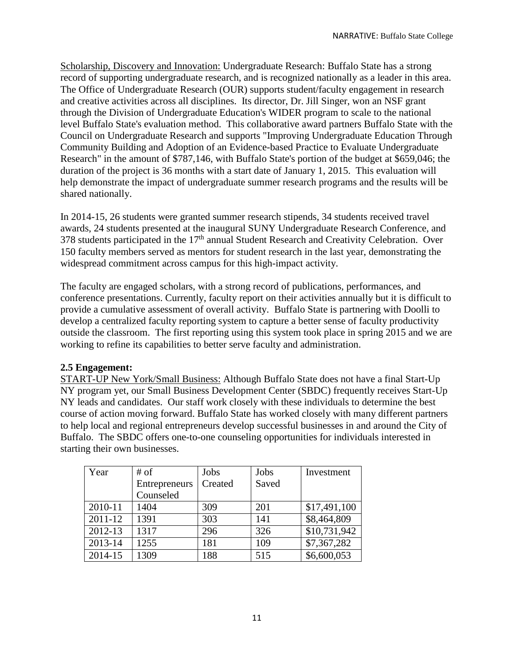Scholarship, Discovery and Innovation: Undergraduate Research: Buffalo State has a strong record of supporting undergraduate research, and is recognized nationally as a leader in this area. The Office of Undergraduate Research (OUR) supports student/faculty engagement in research and creative activities across all disciplines. Its director, Dr. Jill Singer, won an NSF grant through the Division of Undergraduate Education's WIDER program to scale to the national level Buffalo State's evaluation method. This collaborative award partners Buffalo State with the Council on Undergraduate Research and supports "Improving Undergraduate Education Through Community Building and Adoption of an Evidence-based Practice to Evaluate Undergraduate Research" in the amount of \$787,146, with Buffalo State's portion of the budget at \$659,046; the duration of the project is 36 months with a start date of January 1, 2015. This evaluation will help demonstrate the impact of undergraduate summer research programs and the results will be shared nationally.

In 2014-15, 26 students were granted summer research stipends, 34 students received travel awards, 24 students presented at the inaugural SUNY Undergraduate Research Conference, and 378 students participated in the 17<sup>th</sup> annual Student Research and Creativity Celebration. Over 150 faculty members served as mentors for student research in the last year, demonstrating the widespread commitment across campus for this high-impact activity.

The faculty are engaged scholars, with a strong record of publications, performances, and conference presentations. Currently, faculty report on their activities annually but it is difficult to provide a cumulative assessment of overall activity. Buffalo State is partnering with Doolli to develop a centralized faculty reporting system to capture a better sense of faculty productivity outside the classroom. The first reporting using this system took place in spring 2015 and we are working to refine its capabilities to better serve faculty and administration.

## **2.5 Engagement:**

START-UP New York/Small Business: Although Buffalo State does not have a final Start-Up NY program yet, our Small Business Development Center (SBDC) frequently receives Start-Up NY leads and candidates. Our staff work closely with these individuals to determine the best course of action moving forward. Buffalo State has worked closely with many different partners to help local and regional entrepreneurs develop successful businesses in and around the City of Buffalo. The SBDC offers one-to-one counseling opportunities for individuals interested in starting their own businesses.

| Year    | $#$ of        | Jobs    | Jobs  | Investment   |
|---------|---------------|---------|-------|--------------|
|         | Entrepreneurs | Created | Saved |              |
|         | Counseled     |         |       |              |
| 2010-11 | 1404          | 309     | 201   | \$17,491,100 |
| 2011-12 | 1391          | 303     | 141   | \$8,464,809  |
| 2012-13 | 1317          | 296     | 326   | \$10,731,942 |
| 2013-14 | 1255          | 181     | 109   | \$7,367,282  |
| 2014-15 | 1309          | 188     | 515   | \$6,600,053  |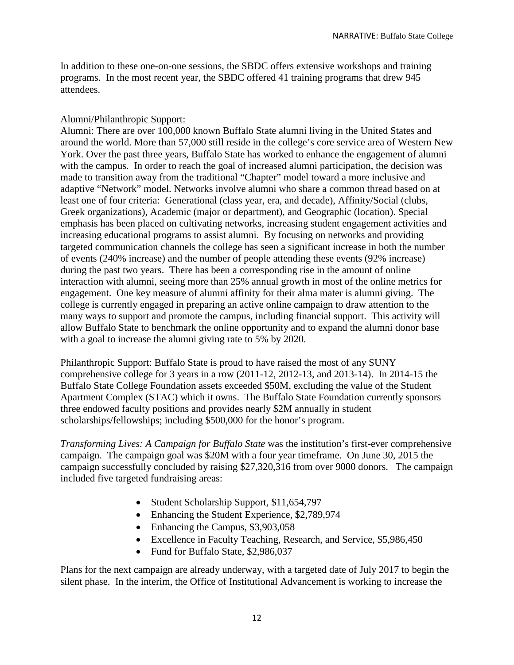In addition to these one-on-one sessions, the SBDC offers extensive workshops and training programs. In the most recent year, the SBDC offered 41 training programs that drew 945 attendees.

## Alumni/Philanthropic Support:

Alumni: There are over 100,000 known Buffalo State alumni living in the United States and around the world. More than 57,000 still reside in the college's core service area of Western New York. Over the past three years, Buffalo State has worked to enhance the engagement of alumni with the campus. In order to reach the goal of increased alumni participation, the decision was made to transition away from the traditional "Chapter" model toward a more inclusive and adaptive "Network" model. Networks involve alumni who share a common thread based on at least one of four criteria: Generational (class year, era, and decade), Affinity/Social (clubs, Greek organizations), Academic (major or department), and Geographic (location). Special emphasis has been placed on cultivating networks, increasing student engagement activities and increasing educational programs to assist alumni. By focusing on networks and providing targeted communication channels the college has seen a significant increase in both the number of events (240% increase) and the number of people attending these events (92% increase) during the past two years. There has been a corresponding rise in the amount of online interaction with alumni, seeing more than 25% annual growth in most of the online metrics for engagement. One key measure of alumni affinity for their alma mater is alumni giving. The college is currently engaged in preparing an active online campaign to draw attention to the many ways to support and promote the campus, including financial support. This activity will allow Buffalo State to benchmark the online opportunity and to expand the alumni donor base with a goal to increase the alumni giving rate to 5% by 2020.

Philanthropic Support: Buffalo State is proud to have raised the most of any SUNY comprehensive college for 3 years in a row (2011-12, 2012-13, and 2013-14). In 2014-15 the Buffalo State College Foundation assets exceeded \$50M, excluding the value of the Student Apartment Complex (STAC) which it owns. The Buffalo State Foundation currently sponsors three endowed faculty positions and provides nearly \$2M annually in student scholarships/fellowships; including \$500,000 for the honor's program.

*Transforming Lives: A Campaign for Buffalo State* was the institution's first-ever comprehensive campaign. The campaign goal was \$20M with a four year timeframe. On June 30, 2015 the campaign successfully concluded by raising \$27,320,316 from over 9000 donors. The campaign included five targeted fundraising areas:

- Student Scholarship Support, \$11,654,797
- Enhancing the Student Experience, \$2,789,974
- Enhancing the Campus, \$3,903,058
- Excellence in Faculty Teaching, Research, and Service, \$5,986,450
- Fund for Buffalo State, \$2,986,037

Plans for the next campaign are already underway, with a targeted date of July 2017 to begin the silent phase. In the interim, the Office of Institutional Advancement is working to increase the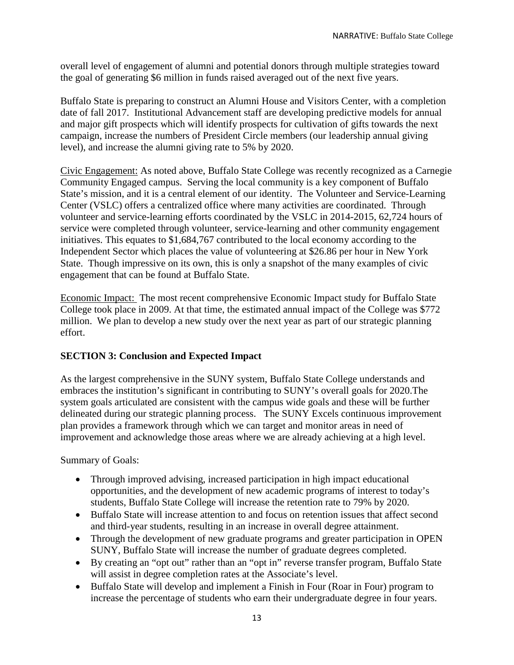overall level of engagement of alumni and potential donors through multiple strategies toward the goal of generating \$6 million in funds raised averaged out of the next five years.

Buffalo State is preparing to construct an Alumni House and Visitors Center, with a completion date of fall 2017. Institutional Advancement staff are developing predictive models for annual and major gift prospects which will identify prospects for cultivation of gifts towards the next campaign, increase the numbers of President Circle members (our leadership annual giving level), and increase the alumni giving rate to 5% by 2020.

Civic Engagement: As noted above, Buffalo State College was recently recognized as a Carnegie Community Engaged campus. Serving the local community is a key component of Buffalo State's mission, and it is a central element of our identity. The Volunteer and Service-Learning Center (VSLC) offers a centralized office where many activities are coordinated. Through volunteer and service-learning efforts coordinated by the VSLC in 2014-2015, 62,724 hours of service were completed through volunteer, service-learning and other community engagement initiatives. This equates to \$1,684,767 contributed to the local economy according to the Independent Sector which places the value of volunteering at \$26.86 per hour in New York State. Though impressive on its own, this is only a snapshot of the many examples of civic engagement that can be found at Buffalo State.

Economic Impact: The most recent comprehensive Economic Impact study for Buffalo State College took place in 2009. At that time, the estimated annual impact of the College was \$772 million. We plan to develop a new study over the next year as part of our strategic planning effort.

# **SECTION 3: Conclusion and Expected Impact**

As the largest comprehensive in the SUNY system, Buffalo State College understands and embraces the institution's significant in contributing to SUNY's overall goals for 2020.The system goals articulated are consistent with the campus wide goals and these will be further delineated during our strategic planning process. The SUNY Excels continuous improvement plan provides a framework through which we can target and monitor areas in need of improvement and acknowledge those areas where we are already achieving at a high level.

Summary of Goals:

- Through improved advising, increased participation in high impact educational opportunities, and the development of new academic programs of interest to today's students, Buffalo State College will increase the retention rate to 79% by 2020.
- Buffalo State will increase attention to and focus on retention issues that affect second and third-year students, resulting in an increase in overall degree attainment.
- Through the development of new graduate programs and greater participation in OPEN SUNY, Buffalo State will increase the number of graduate degrees completed.
- By creating an "opt out" rather than an "opt in" reverse transfer program, Buffalo State will assist in degree completion rates at the Associate's level.
- Buffalo State will develop and implement a Finish in Four (Roar in Four) program to increase the percentage of students who earn their undergraduate degree in four years.